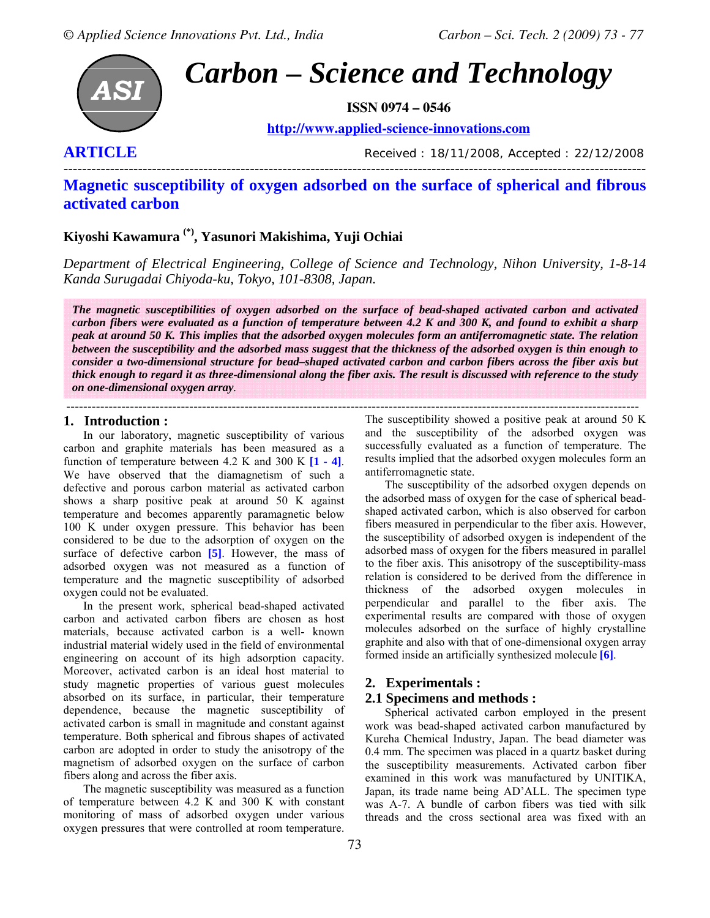

**ISSN 0974 – 0546** 

**http://www.applied-science-innovations.com**

**ARTICLE** *Received : 18/11/2008, Accepted : 22/12/2008*

## **Magnetic susceptibility of oxygen adsorbed on the surface of spherical and fibrous activated carbon**

# **Kiyoshi Kawamura (\*), Yasunori Makishima, Yuji Ochiai**

---------------------------------------------------------------------------------------------------------------------------------------

*Department of Electrical Engineering, College of Science and Technology, Nihon University, 1-8-14 Kanda Surugadai Chiyoda-ku, Tokyo, 101-8308, Japan.* 

*The magnetic susceptibilities of oxygen adsorbed on the surface of bead-shaped activated carbon and activated carbon fibers were evaluated as a function of temperature between 4.2 K and 300 K, and found to exhibit a sharp peak at around 50 K. This implies that the adsorbed oxygen molecules form an antiferromagnetic state. The relation between the susceptibility and the adsorbed mass suggest that the thickness of the adsorbed oxygen is thin enough to consider a two-dimensional structure for bead–shaped activated carbon and carbon fibers across the fiber axis but thick enough to regard it as three-dimensional along the fiber axis. The result is discussed with reference to the study on one-dimensional oxygen array.*

### **1. Introduction :**

In our laboratory, magnetic susceptibility of various carbon and graphite materials has been measured as a function of temperature between 4.2 K and 300 K **[1 - 4]**. We have observed that the diamagnetism of such a defective and porous carbon material as activated carbon shows a sharp positive peak at around 50 K against temperature and becomes apparently paramagnetic below 100 K under oxygen pressure. This behavior has been considered to be due to the adsorption of oxygen on the surface of defective carbon **[5]**. However, the mass of adsorbed oxygen was not measured as a function of temperature and the magnetic susceptibility of adsorbed oxygen could not be evaluated.

In the present work, spherical bead-shaped activated carbon and activated carbon fibers are chosen as host materials, because activated carbon is a well- known industrial material widely used in the field of environmental engineering on account of its high adsorption capacity. Moreover, activated carbon is an ideal host material to study magnetic properties of various guest molecules absorbed on its surface, in particular, their temperature dependence, because the magnetic susceptibility of activated carbon is small in magnitude and constant against temperature. Both spherical and fibrous shapes of activated carbon are adopted in order to study the anisotropy of the magnetism of adsorbed oxygen on the surface of carbon fibers along and across the fiber axis.

The magnetic susceptibility was measured as a function of temperature between 4.2 K and 300 K with constant monitoring of mass of adsorbed oxygen under various oxygen pressures that were controlled at room temperature.

The susceptibility showed a positive peak at around 50 K and the susceptibility of the adsorbed oxygen was successfully evaluated as a function of temperature. The results implied that the adsorbed oxygen molecules form an antiferromagnetic state.

The susceptibility of the adsorbed oxygen depends on the adsorbed mass of oxygen for the case of spherical beadshaped activated carbon, which is also observed for carbon fibers measured in perpendicular to the fiber axis. However, the susceptibility of adsorbed oxygen is independent of the adsorbed mass of oxygen for the fibers measured in parallel to the fiber axis. This anisotropy of the susceptibility-mass relation is considered to be derived from the difference in thickness of the adsorbed oxygen molecules in perpendicular and parallel to the fiber axis. The experimental results are compared with those of oxygen molecules adsorbed on the surface of highly crystalline graphite and also with that of one-dimensional oxygen array formed inside an artificially synthesized molecule **[6]**.

### **2. Experimentals :**

### **2.1 Specimens and methods :**

Spherical activated carbon employed in the present work was bead-shaped activated carbon manufactured by Kureha Chemical Industry, Japan. The bead diameter was 0.4 mm. The specimen was placed in a quartz basket during the susceptibility measurements. Activated carbon fiber examined in this work was manufactured by UNITIKA, Japan, its trade name being AD'ALL. The specimen type was A-7. A bundle of carbon fibers was tied with silk threads and the cross sectional area was fixed with an

# -----------------------------------------------------------------------------------------------------------------------------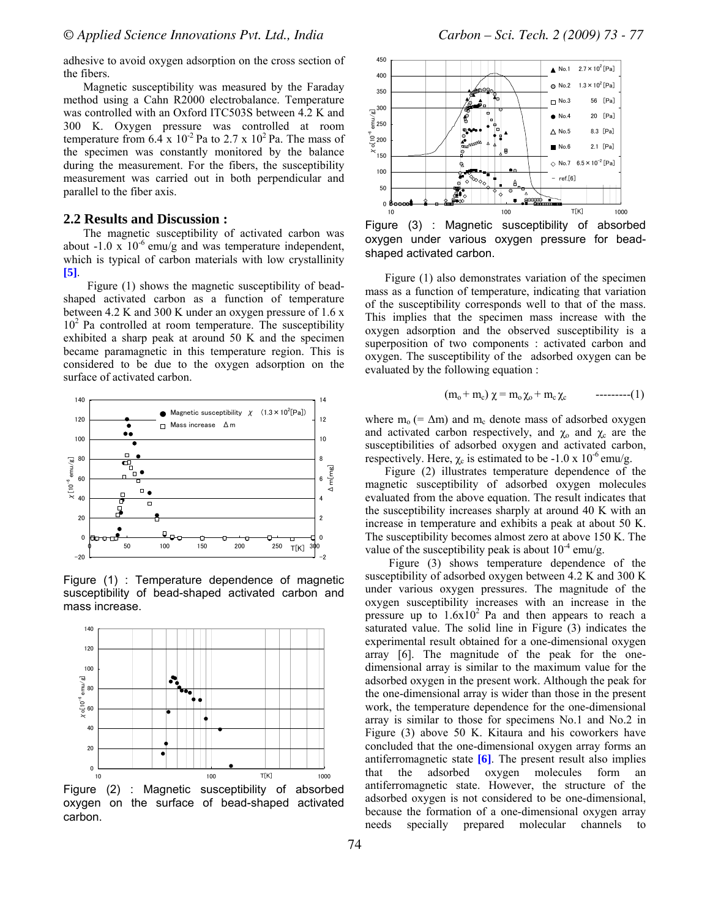adhesive to avoid oxygen adsorption on the cross section of the fibers.

Magnetic susceptibility was measured by the Faraday method using a Cahn R2000 electrobalance. Temperature was controlled with an Oxford ITC503S between 4.2 K and 300 K. Oxygen pressure was controlled at room temperature from  $6.4 \times 10^{-2}$  Pa to  $2.7 \times 10^{2}$  Pa. The mass of the specimen was constantly monitored by the balance during the measurement. For the fibers, the susceptibility measurement was carried out in both perpendicular and parallel to the fiber axis.

### **2.2 Results and Discussion :**

The magnetic susceptibility of activated carbon was about  $-1.0 \times 10^{-6}$  emu/g and was temperature independent, which is typical of carbon materials with low crystallinity **[5]**.

Figure (1) shows the magnetic susceptibility of beadshaped activated carbon as a function of temperature between 4.2 K and 300 K under an oxygen pressure of 1.6 x  $10<sup>2</sup>$  Pa controlled at room temperature. The susceptibility exhibited a sharp peak at around 50 K and the specimen became paramagnetic in this temperature region. This is considered to be due to the oxygen adsorption on the surface of activated carbon.



Figure (1) : Temperature dependence of magnetic susceptibility of bead-shaped activated carbon and mass increase.



Figure (2) : Magnetic susceptibility of absorbed oxygen on the surface of bead-shaped activated carbon.



Figure (3) : Magnetic susceptibility of absorbed oxygen under various oxygen pressure for beadshaped activated carbon.

Figure (1) also demonstrates variation of the specimen mass as a function of temperature, indicating that variation of the susceptibility corresponds well to that of the mass. This implies that the specimen mass increase with the oxygen adsorption and the observed susceptibility is a superposition of two components : activated carbon and oxygen. The susceptibility of the adsorbed oxygen can be evaluated by the following equation :

$$
(m_o + m_c) \chi = m_o \chi_o + m_c \chi_c \qquad \qquad \text{---} \tag{1}
$$

where  $m_0$  (=  $\Delta m$ ) and  $m_c$  denote mass of adsorbed oxygen and activated carbon respectively, and  $\chi_0$  and  $\chi_c$  are the susceptibilities of adsorbed oxygen and activated carbon, respectively. Here,  $\chi_c$  is estimated to be -1.0 x 10<sup>-6</sup> emu/g.

Figure (2) illustrates temperature dependence of the magnetic susceptibility of adsorbed oxygen molecules evaluated from the above equation. The result indicates that the susceptibility increases sharply at around 40 K with an increase in temperature and exhibits a peak at about 50 K. The susceptibility becomes almost zero at above 150 K. The value of the susceptibility peak is about  $10^{-4}$  emu/g.

Figure (3) shows temperature dependence of the susceptibility of adsorbed oxygen between 4.2 K and 300 K under various oxygen pressures. The magnitude of the oxygen susceptibility increases with an increase in the pressure up to  $1.6x10^2$  Pa and then appears to reach a saturated value. The solid line in Figure (3) indicates the experimental result obtained for a one-dimensional oxygen array [6]. The magnitude of the peak for the onedimensional array is similar to the maximum value for the adsorbed oxygen in the present work. Although the peak for the one-dimensional array is wider than those in the present work, the temperature dependence for the one-dimensional array is similar to those for specimens No.1 and No.2 in Figure (3) above 50 K. Kitaura and his coworkers have concluded that the one-dimensional oxygen array forms an antiferromagnetic state **[6]**. The present result also implies that the adsorbed oxygen molecules form an antiferromagnetic state. However, the structure of the adsorbed oxygen is not considered to be one-dimensional, because the formation of a one-dimensional oxygen array needs specially prepared molecular channels to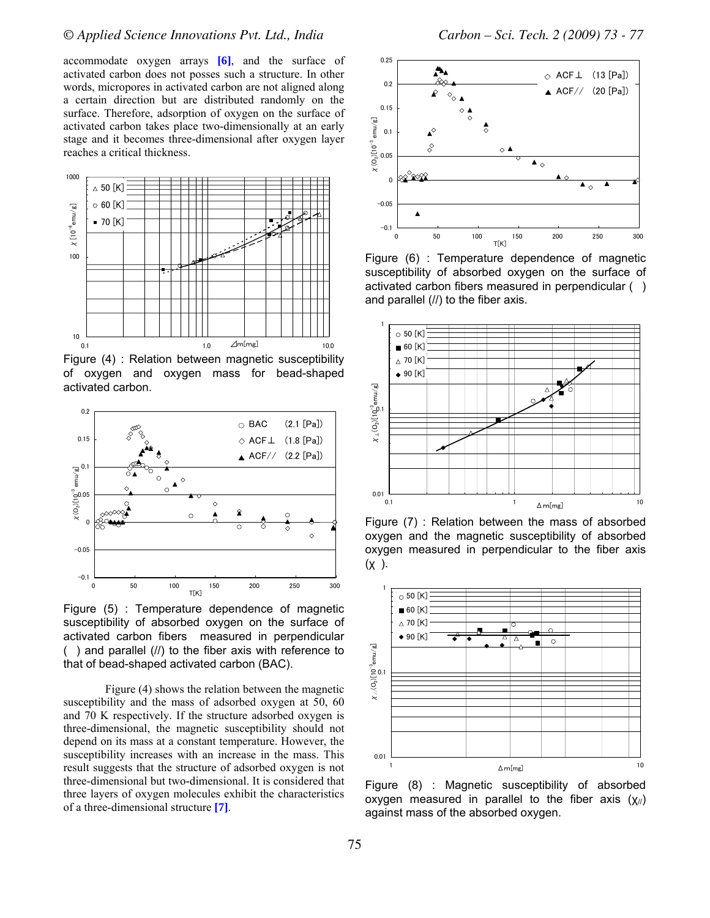accommodate oxygen arrays **[6]**, and the surface of activated carbon does not posses such a structure. In other words, micropores in activated carbon are not aligned along a certain direction but are distributed randomly on the surface. Therefore, adsorption of oxygen on the surface of activated carbon takes place two-dimensionally at an early stage and it becomes three-dimensional after oxygen layer reaches a critical thickness.



Figure (4) : Relation between magnetic susceptibility of oxygen and oxygen mass for bead-shaped activated carbon.



Figure (5) : Temperature dependence of magnetic susceptibility of absorbed oxygen on the surface of activated carbon fibers measured in perpendicular () and parallel (//) to the fiber axis with reference to that of bead-shaped activated carbon (BAC).

Figure (4) shows the relation between the magnetic susceptibility and the mass of adsorbed oxygen at 50, 60 and 70 K respectively. If the structure adsorbed oxygen is three-dimensional, the magnetic susceptibility should not depend on its mass at a constant temperature. However, the susceptibility increases with an increase in the mass. This result suggests that the structure of adsorbed oxygen is not three-dimensional but two-dimensional. It is considered that three layers of oxygen molecules exhibit the characteristics of a three-dimensional structure **[7]**.



Figure (6) : Temperature dependence of magnetic susceptibility of absorbed oxygen on the surface of activated carbon fibers measured in perpendicular () and parallel (//) to the fiber axis.



Figure (7) : Relation between the mass of absorbed oxygen and the magnetic susceptibility of absorbed oxygen measured in perpendicular to the fiber axis  $(x)$ .



Figure (8) : Magnetic susceptibility of absorbed oxygen measured in parallel to the fiber axis  $({\bf x}_{\ell})$ against mass of the absorbed oxygen.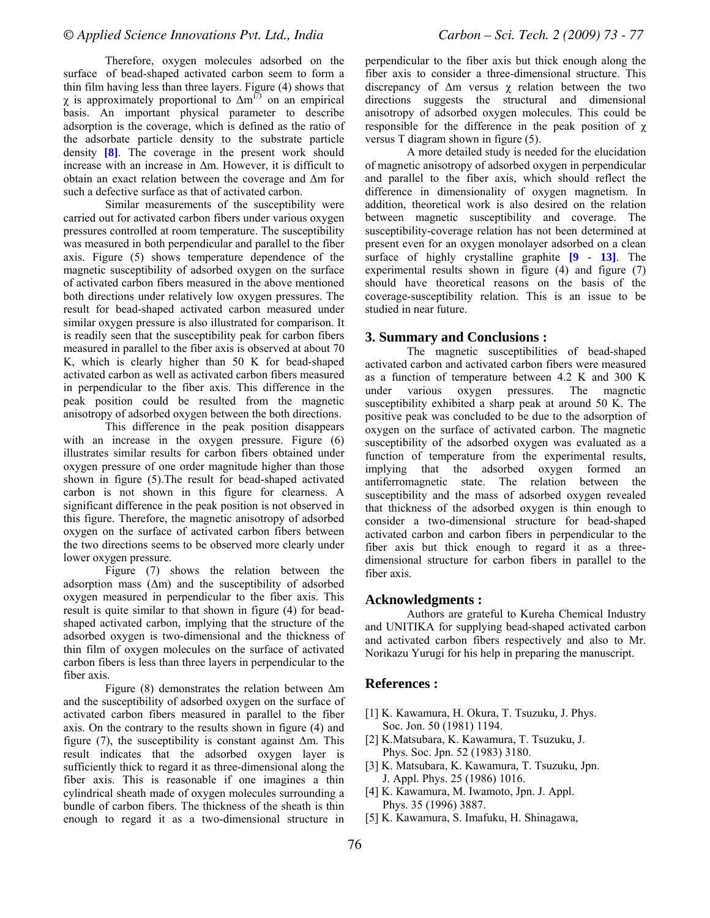Therefore, oxygen molecules adsorbed on the surface of bead-shaped activated carbon seem to form a thin film having less than three layers. Figure (4) shows that  $χ$  is approximately proportional to  $Δm<sup>173</sup>$  on an empirical basis. An important physical parameter to describe adsorption is the coverage, which is defined as the ratio of the adsorbate particle density to the substrate particle density **[8]**. The coverage in the present work should increase with an increase in Δm. However, it is difficult to obtain an exact relation between the coverage and Δm for such a defective surface as that of activated carbon.

Similar measurements of the susceptibility were carried out for activated carbon fibers under various oxygen pressures controlled at room temperature. The susceptibility was measured in both perpendicular and parallel to the fiber axis. Figure (5) shows temperature dependence of the magnetic susceptibility of adsorbed oxygen on the surface of activated carbon fibers measured in the above mentioned both directions under relatively low oxygen pressures. The result for bead-shaped activated carbon measured under similar oxygen pressure is also illustrated for comparison. It is readily seen that the susceptibility peak for carbon fibers measured in parallel to the fiber axis is observed at about 70 K, which is clearly higher than 50 K for bead-shaped activated carbon as well as activated carbon fibers measured in perpendicular to the fiber axis. This difference in the peak position could be resulted from the magnetic anisotropy of adsorbed oxygen between the both directions.

This difference in the peak position disappears with an increase in the oxygen pressure. Figure (6) illustrates similar results for carbon fibers obtained under oxygen pressure of one order magnitude higher than those shown in figure (5).The result for bead-shaped activated carbon is not shown in this figure for clearness. A significant difference in the peak position is not observed in this figure. Therefore, the magnetic anisotropy of adsorbed oxygen on the surface of activated carbon fibers between the two directions seems to be observed more clearly under lower oxygen pressure.

Figure (7) shows the relation between the adsorption mass  $(Δm)$  and the susceptibility of adsorbed oxygen measured in perpendicular to the fiber axis. This result is quite similar to that shown in figure (4) for beadshaped activated carbon, implying that the structure of the adsorbed oxygen is two-dimensional and the thickness of thin film of oxygen molecules on the surface of activated carbon fibers is less than three layers in perpendicular to the fiber axis.

Figure (8) demonstrates the relation between Δm and the susceptibility of adsorbed oxygen on the surface of activated carbon fibers measured in parallel to the fiber axis. On the contrary to the results shown in figure (4) and figure (7), the susceptibility is constant against Δm. This result indicates that the adsorbed oxygen layer is sufficiently thick to regard it as three-dimensional along the fiber axis. This is reasonable if one imagines a thin cylindrical sheath made of oxygen molecules surrounding a bundle of carbon fibers. The thickness of the sheath is thin enough to regard it as a two-dimensional structure in

perpendicular to the fiber axis but thick enough along the fiber axis to consider a three-dimensional structure. This discrepancy of  $\Delta m$  versus  $\chi$  relation between the two directions suggests the structural and dimensional anisotropy of adsorbed oxygen molecules. This could be responsible for the difference in the peak position of  $\chi$ versus T diagram shown in figure (5).

A more detailed study is needed for the elucidation of magnetic anisotropy of adsorbed oxygen in perpendicular and parallel to the fiber axis, which should reflect the difference in dimensionality of oxygen magnetism. In addition, theoretical work is also desired on the relation between magnetic susceptibility and coverage. The susceptibility-coverage relation has not been determined at present even for an oxygen monolayer adsorbed on a clean surface of highly crystalline graphite **[9 - 13]**. The experimental results shown in figure (4) and figure (7) should have theoretical reasons on the basis of the coverage-susceptibility relation. This is an issue to be studied in near future.

## **3. Summary and Conclusions :**

The magnetic susceptibilities of bead-shaped activated carbon and activated carbon fibers were measured as a function of temperature between 4.2 K and 300 K under various oxygen pressures. The magnetic susceptibility exhibited a sharp peak at around 50 K. The positive peak was concluded to be due to the adsorption of oxygen on the surface of activated carbon. The magnetic susceptibility of the adsorbed oxygen was evaluated as a function of temperature from the experimental results, implying that the adsorbed oxygen formed an antiferromagnetic state. The relation between the susceptibility and the mass of adsorbed oxygen revealed that thickness of the adsorbed oxygen is thin enough to consider a two-dimensional structure for bead-shaped activated carbon and carbon fibers in perpendicular to the fiber axis but thick enough to regard it as a threedimensional structure for carbon fibers in parallel to the fiber axis.

#### **Acknowledgments :**

Authors are grateful to Kureha Chemical Industry and UNITIKA for supplying bead-shaped activated carbon and activated carbon fibers respectively and also to Mr. Norikazu Yurugi for his help in preparing the manuscript.

### **References :**

- [1] K. Kawamura, H. Okura, T. Tsuzuku, J. Phys. Soc. Jon. 50 (1981) 1194.
- [2] K.Matsubara, K. Kawamura, T. Tsuzuku, J. Phys. Soc. Jpn. 52 (1983) 3180.
- [3] K. Matsubara, K. Kawamura, T. Tsuzuku, Jpn. J. Appl. Phys. 25 (1986) 1016.
- [4] K. Kawamura, M. Iwamoto, Jpn. J. Appl. Phys. 35 (1996) 3887.
- [5] K. Kawamura, S. Imafuku, H. Shinagawa,